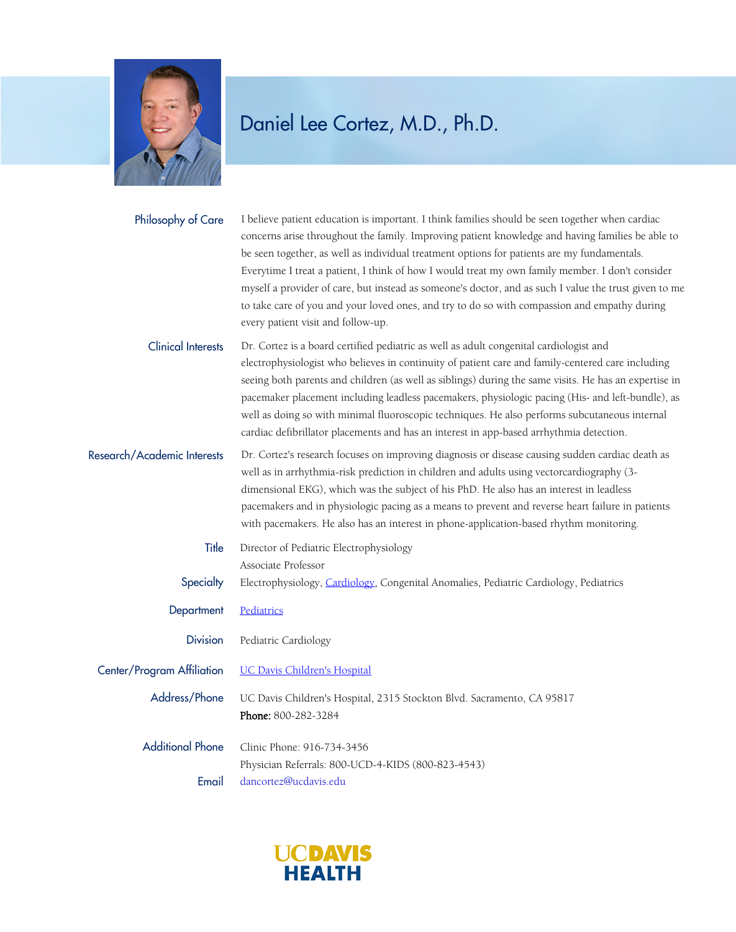

| Philosophy of Care          | I believe patient education is important. I think families should be seen together when cardiac<br>concerns arise throughout the family. Improving patient knowledge and having families be able to<br>be seen together, as well as individual treatment options for patients are my fundamentals.<br>Everytime I treat a patient, I think of how I would treat my own family member. I don't consider<br>myself a provider of care, but instead as someone's doctor, and as such I value the trust given to me<br>to take care of you and your loved ones, and try to do so with compassion and empathy during<br>every patient visit and follow-up. |
|-----------------------------|-------------------------------------------------------------------------------------------------------------------------------------------------------------------------------------------------------------------------------------------------------------------------------------------------------------------------------------------------------------------------------------------------------------------------------------------------------------------------------------------------------------------------------------------------------------------------------------------------------------------------------------------------------|
| <b>Clinical Interests</b>   | Dr. Cortez is a board certified pediatric as well as adult congenital cardiologist and<br>electrophysiologist who believes in continuity of patient care and family-centered care including<br>seeing both parents and children (as well as siblings) during the same visits. He has an expertise in<br>pacemaker placement including leadless pacemakers, physiologic pacing (His- and left-bundle), as<br>well as doing so with minimal fluoroscopic techniques. He also performs subcutaneous internal<br>cardiac defibrillator placements and has an interest in app-based arrhythmia detection.                                                  |
| Research/Academic Interests | Dr. Cortez's research focuses on improving diagnosis or disease causing sudden cardiac death as<br>well as in arrhythmia-risk prediction in children and adults using vectorcardiography (3-<br>dimensional EKG), which was the subject of his PhD. He also has an interest in leadless<br>pacemakers and in physiologic pacing as a means to prevent and reverse heart failure in patients<br>with pacemakers. He also has an interest in phone-application-based rhythm monitoring.                                                                                                                                                                 |
| Title                       | Director of Pediatric Electrophysiology<br>Associate Professor                                                                                                                                                                                                                                                                                                                                                                                                                                                                                                                                                                                        |
| Specialty                   | Electrophysiology, Cardiology, Congenital Anomalies, Pediatric Cardiology, Pediatrics                                                                                                                                                                                                                                                                                                                                                                                                                                                                                                                                                                 |
| Department                  | Pediatrics                                                                                                                                                                                                                                                                                                                                                                                                                                                                                                                                                                                                                                            |
| <b>Division</b>             | Pediatric Cardiology                                                                                                                                                                                                                                                                                                                                                                                                                                                                                                                                                                                                                                  |
| Center/Program Affiliation  | <b>UC Davis Children's Hospital</b>                                                                                                                                                                                                                                                                                                                                                                                                                                                                                                                                                                                                                   |
| Address/Phone               | UC Davis Children's Hospital, 2315 Stockton Blvd. Sacramento, CA 95817<br>Phone: 800-282-3284                                                                                                                                                                                                                                                                                                                                                                                                                                                                                                                                                         |
| <b>Additional Phone</b>     | Clinic Phone: 916-734-3456                                                                                                                                                                                                                                                                                                                                                                                                                                                                                                                                                                                                                            |
|                             | Physician Referrals: 800-UCD-4-KIDS (800-823-4543)                                                                                                                                                                                                                                                                                                                                                                                                                                                                                                                                                                                                    |
| Email                       | dancortez@ucdavis.edu                                                                                                                                                                                                                                                                                                                                                                                                                                                                                                                                                                                                                                 |

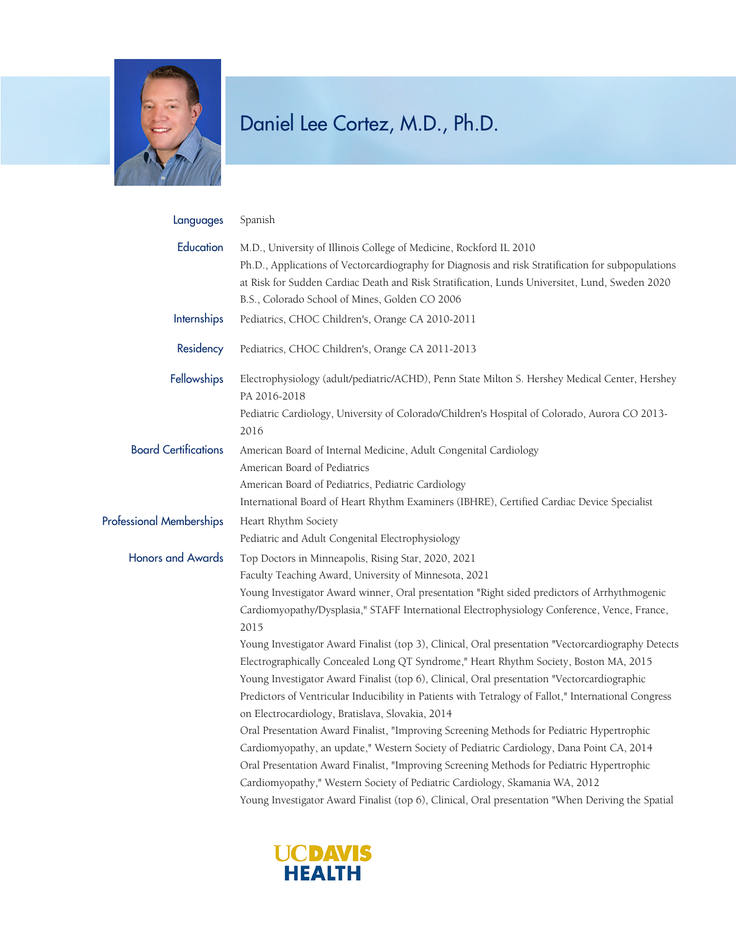

| Languages                       | Spanish                                                                                                                                                                                                                                                                                                                                                                                                                                                                                                                                                                                                                                                                                                                                                                                                                                                                                                                                                                                                                                                                                                                                                                                                                                                 |
|---------------------------------|---------------------------------------------------------------------------------------------------------------------------------------------------------------------------------------------------------------------------------------------------------------------------------------------------------------------------------------------------------------------------------------------------------------------------------------------------------------------------------------------------------------------------------------------------------------------------------------------------------------------------------------------------------------------------------------------------------------------------------------------------------------------------------------------------------------------------------------------------------------------------------------------------------------------------------------------------------------------------------------------------------------------------------------------------------------------------------------------------------------------------------------------------------------------------------------------------------------------------------------------------------|
| Education                       | M.D., University of Illinois College of Medicine, Rockford IL 2010<br>Ph.D., Applications of Vectorcardiography for Diagnosis and risk Stratification for subpopulations<br>at Risk for Sudden Cardiac Death and Risk Stratification, Lunds Universitet, Lund, Sweden 2020<br>B.S., Colorado School of Mines, Golden CO 2006                                                                                                                                                                                                                                                                                                                                                                                                                                                                                                                                                                                                                                                                                                                                                                                                                                                                                                                            |
| Internships                     | Pediatrics, CHOC Children's, Orange CA 2010-2011                                                                                                                                                                                                                                                                                                                                                                                                                                                                                                                                                                                                                                                                                                                                                                                                                                                                                                                                                                                                                                                                                                                                                                                                        |
| Residency                       | Pediatrics, CHOC Children's, Orange CA 2011-2013                                                                                                                                                                                                                                                                                                                                                                                                                                                                                                                                                                                                                                                                                                                                                                                                                                                                                                                                                                                                                                                                                                                                                                                                        |
| Fellowships                     | Electrophysiology (adult/pediatric/ACHD), Penn State Milton S. Hershey Medical Center, Hershey<br>PA 2016-2018<br>Pediatric Cardiology, University of Colorado/Children's Hospital of Colorado, Aurora CO 2013-<br>2016                                                                                                                                                                                                                                                                                                                                                                                                                                                                                                                                                                                                                                                                                                                                                                                                                                                                                                                                                                                                                                 |
| <b>Board Certifications</b>     | American Board of Internal Medicine, Adult Congenital Cardiology<br>American Board of Pediatrics<br>American Board of Pediatrics, Pediatric Cardiology<br>International Board of Heart Rhythm Examiners (IBHRE), Certified Cardiac Device Specialist                                                                                                                                                                                                                                                                                                                                                                                                                                                                                                                                                                                                                                                                                                                                                                                                                                                                                                                                                                                                    |
| <b>Professional Memberships</b> | Heart Rhythm Society<br>Pediatric and Adult Congenital Electrophysiology                                                                                                                                                                                                                                                                                                                                                                                                                                                                                                                                                                                                                                                                                                                                                                                                                                                                                                                                                                                                                                                                                                                                                                                |
| <b>Honors and Awards</b>        | Top Doctors in Minneapolis, Rising Star, 2020, 2021<br>Faculty Teaching Award, University of Minnesota, 2021<br>Young Investigator Award winner, Oral presentation "Right sided predictors of Arrhythmogenic<br>Cardiomyopathy/Dysplasia," STAFF International Electrophysiology Conference, Vence, France,<br>2015<br>Young Investigator Award Finalist (top 3), Clinical, Oral presentation "Vectorcardiography Detects<br>Electrographically Concealed Long QT Syndrome," Heart Rhythm Society, Boston MA, 2015<br>Young Investigator Award Finalist (top 6), Clinical, Oral presentation "Vectorcardiographic<br>Predictors of Ventricular Inducibility in Patients with Tetralogy of Fallot," International Congress<br>on Electrocardiology, Bratislava, Slovakia, 2014<br>Oral Presentation Award Finalist, "Improving Screening Methods for Pediatric Hypertrophic<br>Cardiomyopathy, an update," Western Society of Pediatric Cardiology, Dana Point CA, 2014<br>Oral Presentation Award Finalist, "Improving Screening Methods for Pediatric Hypertrophic<br>Cardiomyopathy," Western Society of Pediatric Cardiology, Skamania WA, 2012<br>Young Investigator Award Finalist (top 6), Clinical, Oral presentation "When Deriving the Spatial |

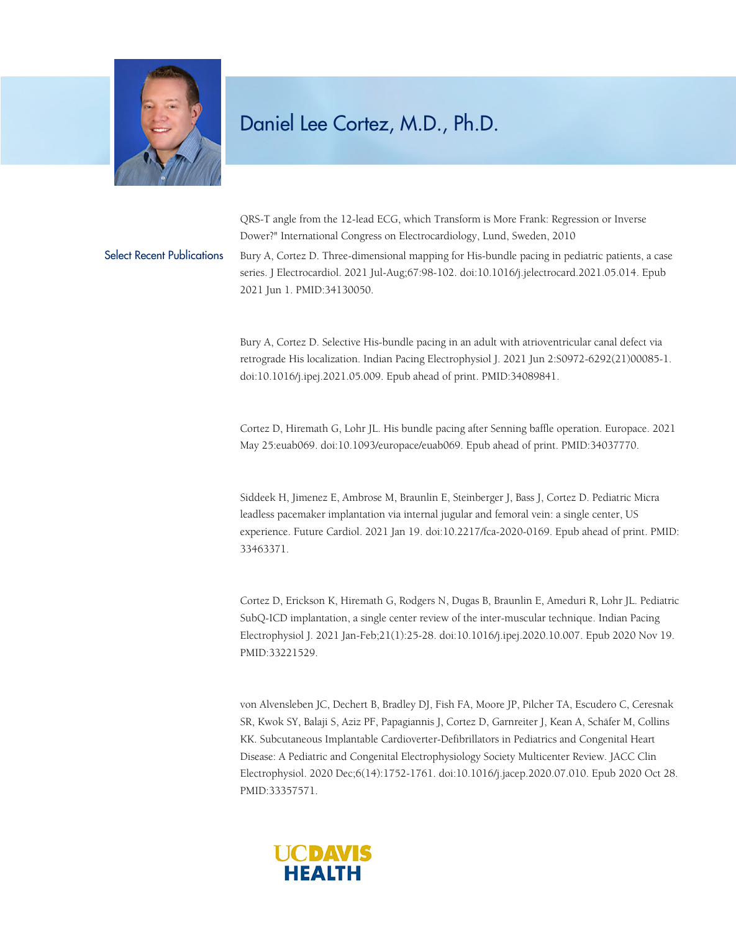

QRS-T angle from the 12-lead ECG, which Transform is More Frank: Regression or Inverse Dower?" International Congress on Electrocardiology, Lund, Sweden, 2010 Select Recent Publications Bury A, Cortez D. Three-dimensional mapping for His-bundle pacing in pediatric patients, a case series. J Electrocardiol. 2021 Jul-Aug;67:98-102. doi:10.1016/j.jelectrocard.2021.05.014. Epub 2021 Jun 1. PMID:34130050.

> Bury A, Cortez D. Selective His-bundle pacing in an adult with atrioventricular canal defect via retrograde His localization. Indian Pacing Electrophysiol J. 2021 Jun 2:S0972-6292(21)00085-1. doi:10.1016/j.ipej.2021.05.009. Epub ahead of print. PMID:34089841.

> Cortez D, Hiremath G, Lohr JL. His bundle pacing after Senning baffle operation. Europace. 2021 May 25:euab069. doi:10.1093/europace/euab069. Epub ahead of print. PMID:34037770.

> Siddeek H, Jimenez E, Ambrose M, Braunlin E, Steinberger J, Bass J, Cortez D. Pediatric Micra leadless pacemaker implantation via internal jugular and femoral vein: a single center, US experience. Future Cardiol. 2021 Jan 19. doi:10.2217/fca-2020-0169. Epub ahead of print. PMID: 33463371.

> Cortez D, Erickson K, Hiremath G, Rodgers N, Dugas B, Braunlin E, Ameduri R, Lohr JL. Pediatric SubQ-ICD implantation, a single center review of the inter-muscular technique. Indian Pacing Electrophysiol J. 2021 Jan-Feb;21(1):25-28. doi:10.1016/j.ipej.2020.10.007. Epub 2020 Nov 19. PMID:33221529.

> von Alvensleben JC, Dechert B, Bradley DJ, Fish FA, Moore JP, Pilcher TA, Escudero C, Ceresnak SR, Kwok SY, Balaji S, Aziz PF, Papagiannis J, Cortez D, Garnreiter J, Kean A, Schäfer M, Collins KK. Subcutaneous Implantable Cardioverter-Defibrillators in Pediatrics and Congenital Heart Disease: A Pediatric and Congenital Electrophysiology Society Multicenter Review. JACC Clin Electrophysiol. 2020 Dec;6(14):1752-1761. doi:10.1016/j.jacep.2020.07.010. Epub 2020 Oct 28. PMID:33357571.